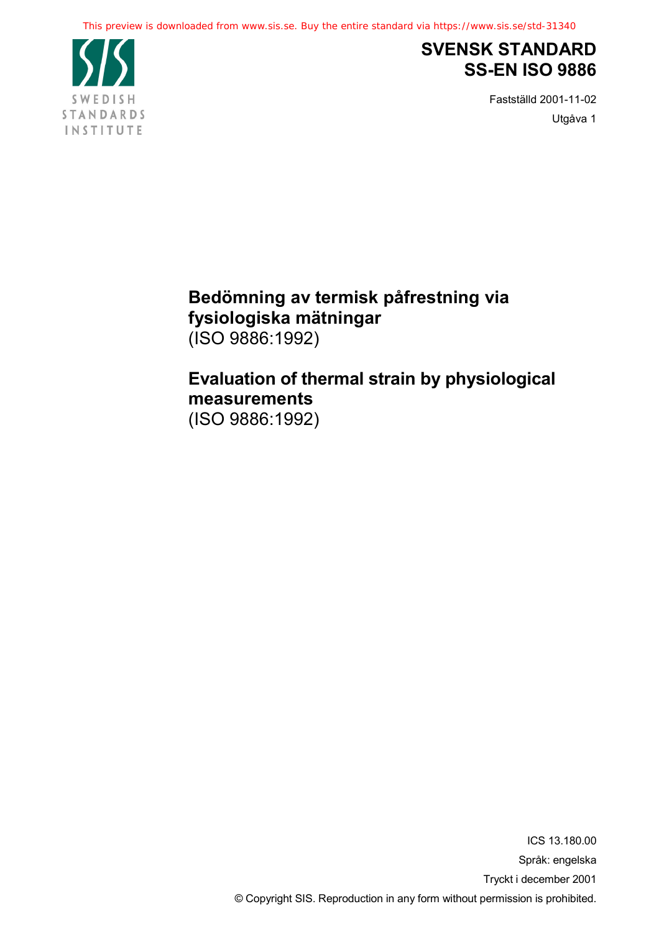

## **SVENSK STANDARD SS-EN ISO 9886**

Fastställd 2001-11-02 Utgåva 1

## Bedömning av termisk påfrestning via fysiologiska mätningar  $(ISO 9886:1992)$

## Evaluation of thermal strain by physiological measurements

(ISO 9886:1992)

ICS 13.180.00 Språk: engelska Tryckt i december 2001 © Copyright SIS. Reproduction in any form without permission is prohibited.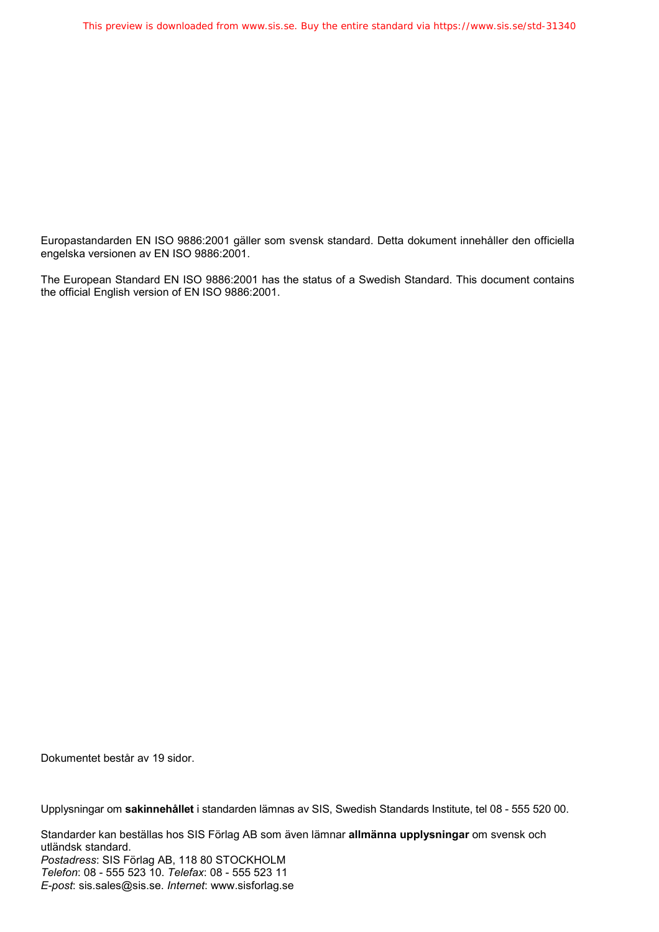Europastandarden EN ISO 9886:2001 gäller som svensk standard. Detta dokument innehåller den officiella engelska versionen av EN ISO 9886:2001.

The European Standard EN ISO 9886:2001 has the status of a Swedish Standard. This document contains the official English version of EN ISO 9886:2001.

Dokumentet består av 19 sidor.

Upplysningar om **sakinnehållet** i standarden lämnas av SIS, Swedish Standards Institute, tel 08 - 555 520 00.

Standarder kan beställas hos SIS Förlag AB som även lämnar **allmänna upplysningar** om svensk och utländsk standard. Postadress: SIS Förlag AB, 118 80 STOCKHOLM *)(\*(+",*: 08 - 555 523 10. *)(\*(+%-*: 08 - 555 523 11 *E-post*: sis.sales@sis.se. *Internet*: www.sisforlag.se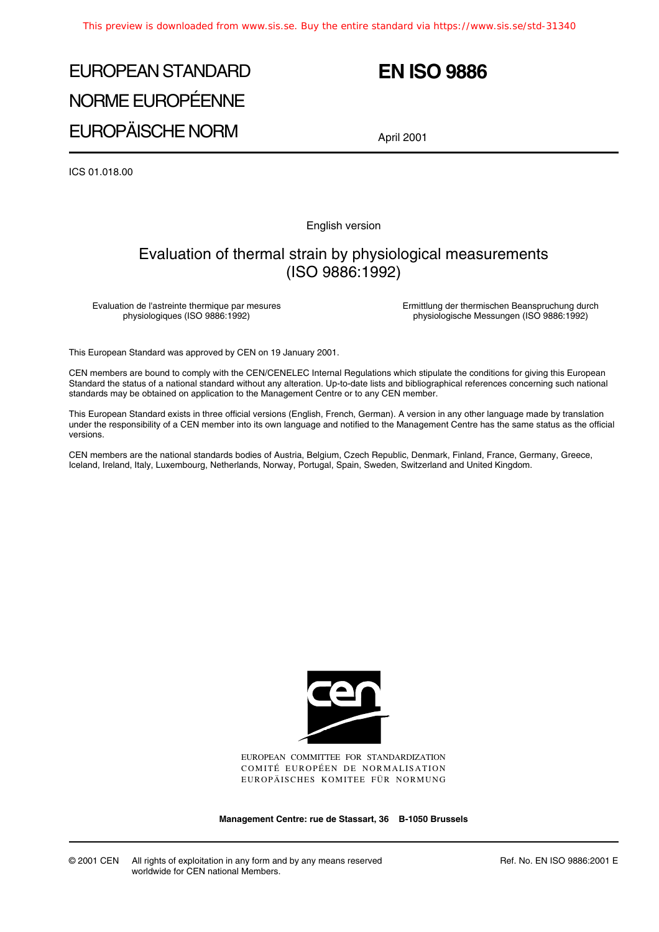# EUROPEAN STANDARD NORME EUROPÉENNE EUROPÄISCHE NORM

## **EN ISO 9886**

April 2001

ICS 01.018.00

English version

### Evaluation of thermal strain by physiological measurements (ISO 9886:1992)

Evaluation de l'astreinte thermique par mesures physiologiques (ISO 9886:1992)

Ermittlung der thermischen Beanspruchung durch physiologische Messungen (ISO 9886:1992)

This European Standard was approved by CEN on 19 January 2001.

CEN members are bound to comply with the CEN/CENELEC Internal Regulations which stipulate the conditions for giving this European Standard the status of a national standard without any alteration. Up-to-date lists and bibliographical references concerning such national standards may be obtained on application to the Management Centre or to any CEN member.

This European Standard exists in three official versions (English, French, German). A version in any other language made by translation under the responsibility of a CEN member into its own language and notified to the Management Centre has the same status as the official versions.

CEN members are the national standards bodies of Austria, Belgium, Czech Republic, Denmark, Finland, France, Germany, Greece, Iceland, Ireland, Italy, Luxembourg, Netherlands, Norway, Portugal, Spain, Sweden, Switzerland and United Kingdom.



EUROPEAN COMMITTEE FOR STANDARDIZATION COMITÉ EUROPÉEN DE NORMALISATION EUROPÄISCHES KOMITEE FÜR NORMUNG

**Management Centre: rue de Stassart, 36 B-1050 Brussels**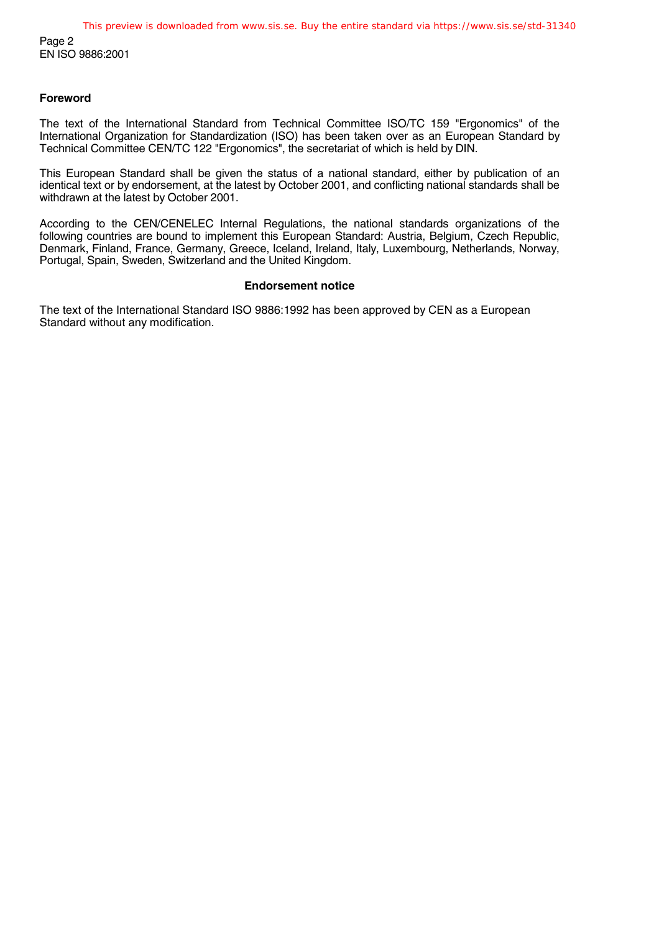#### **Foreword**

The text of the International Standard from Technical Committee ISO/TC 159 "Ergonomics" of the International Organization for Standardization (ISO) has been taken over as an European Standard by Technical Committee CEN/TC 122 "Ergonomics", the secretariat of which is held by DIN.

This European Standard shall be given the status of a national standard, either by publication of an identical text or by endorsement, at the latest by October 2001, and conflicting national standards shall be withdrawn at the latest by October 2001.

According to the CEN/CENELEC Internal Regulations, the national standards organizations of the following countries are bound to implement this European Standard: Austria, Belgium, Czech Republic, Denmark, Finland, France, Germany, Greece, Iceland, Ireland, Italy, Luxembourg, Netherlands, Norway, Portugal, Spain, Sweden, Switzerland and the United Kingdom.

#### **Endorsement notice**

The text of the International Standard ISO 9886:1992 has been approved by CEN as a European Standard without any modification.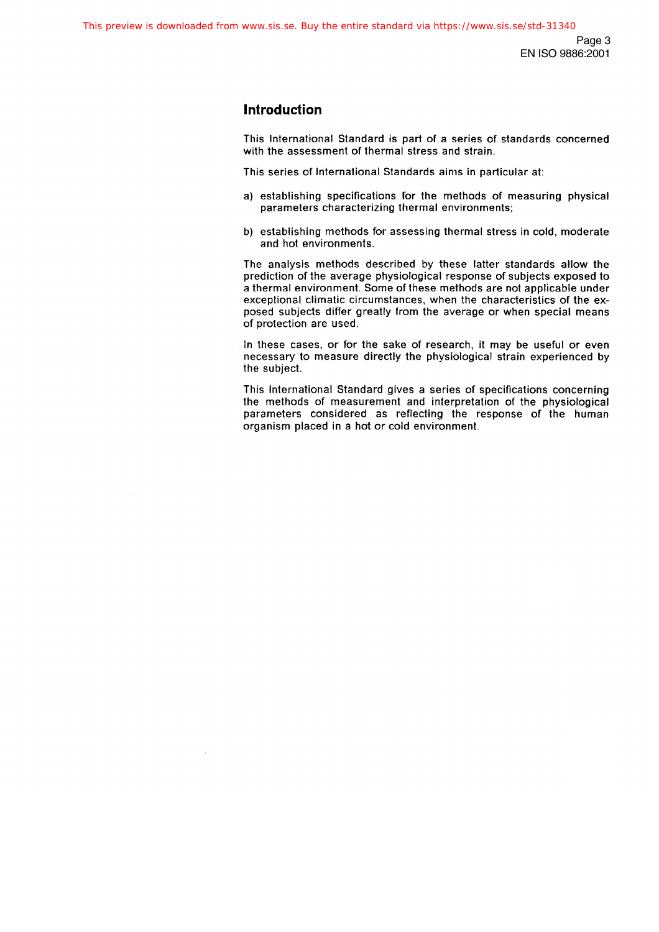### **Introduction**

This International Standard is part of a series of standards concerned with the assessment of thermal stress and strain.

This series of International Standards aims in particular at:

- a) establishing specifications for the methods of measuring physical parameters characterizing thermal environments;
- b) establishing methods for assessing thermal stress in cold, moderate and hot environments.

The analysis methods described by these latter standards allow the prediction of the average physiological response of subjects exposed to a thermal environment. Some of these methods are not applicable under exceptional climatic circumstances, when the characteristics of the exposed subjects differ greatly from the average or when special means of protection are used.

In these cases, or for the sake of research, it may be useful or even necessary to measure directly the physiological strain experienced by the subject.

This International Standard gives a series of specifications concerning the methods of measurement and interpretation of the physiological parameters considered as reflecting the response of the human organism placed in a hot or cold environment.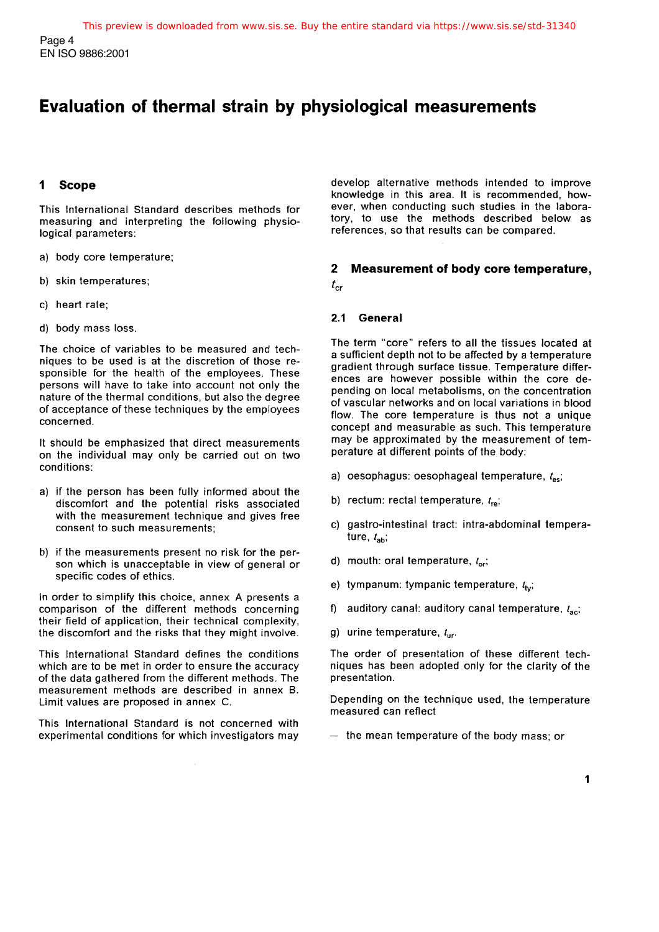## Evaluation of thermal strain by physiological measurements

#### **Scope** 1

This International Standard describes methods for measuring and interpreting the following physiological parameters:

- a) body core temperature;
- b) skin temperatures;
- c) heart rate:
- d) body mass loss.

The choice of variables to be measured and techniques to be used is at the discretion of those responsible for the health of the employees. These persons will have to take into account not only the nature of the thermal conditions, but also the degree of acceptance of these techniques by the employees concerned.

It should be emphasized that direct measurements on the individual may only be carried out on two conditions:

- a) if the person has been fully informed about the discomfort and the potential risks associated with the measurement technique and gives free consent to such measurements:
- b) if the measurements present no risk for the person which is unacceptable in view of general or specific codes of ethics.

In order to simplify this choice, annex A presents a comparison of the different methods concerning their field of application, their technical complexity, the discomfort and the risks that they might involve.

This International Standard defines the conditions which are to be met in order to ensure the accuracy of the data gathered from the different methods. The measurement methods are described in annex B. Limit values are proposed in annex C.

This International Standard is not concerned with experimental conditions for which investigators may develop alternative methods intended to improve knowledge in this area. It is recommended, however, when conducting such studies in the laboratory, to use the methods described below as references, so that results can be compared.

#### $\mathbf{2}$ Measurement of body core temperature,  $t_{cr}$

#### $2.1$ General

The term "core" refers to all the tissues located at a sufficient depth not to be affected by a temperature gradient through surface tissue. Temperature differences are however possible within the core depending on local metabolisms, on the concentration of vascular networks and on local variations in blood flow. The core temperature is thus not a unique concept and measurable as such. This temperature may be approximated by the measurement of temperature at different points of the body:

- a) oesophagus: oesophageal temperature,  $t_{\rm esc}$
- b) rectum: rectal temperature,  $t_{\text{re}}$ ;
- c) gastro-intestinal tract: intra-abdominal temperature,  $t_{\text{ab}}$ ;
- d) mouth: oral temperature,  $t_{\text{ori}}$
- e) tympanum: tympanic temperature,  $t_{\text{tot}}$
- f) auditory canal: auditory canal temperature,  $t_{\text{acc}}$
- g) urine temperature,  $t_{\text{ur}}$ .

The order of presentation of these different techniques has been adopted only for the clarity of the presentation.

Depending on the technique used, the temperature measured can reflect

 $-$  the mean temperature of the body mass; or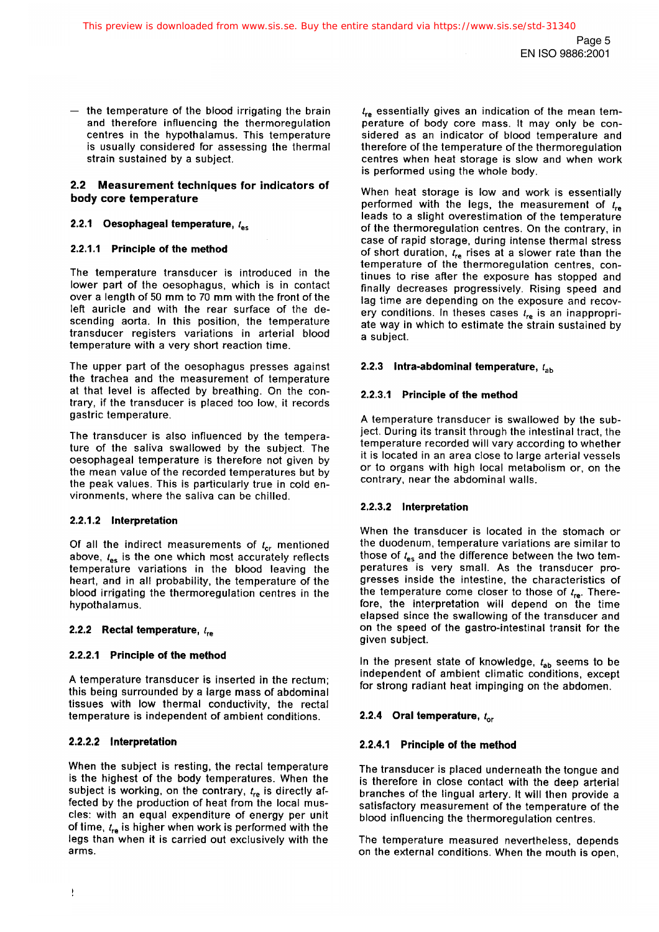$-$  the temperature of the blood irrigating the brain and therefore influencing the thermoregulation centres in the hypothalamus. This temperature is usually considered for assessing the thermal strain sustained by a subject.

#### 2.2 Measurement techniques for indicators of body core temperature

#### 2.2.1 Oesophageal temperature,  $t_{\rm esc}$

#### 2.2.1.1 Principle of the method

The temperature transducer is introduced in the lower part of the oesophagus, which is in contact over a length of 50 mm to 70 mm with the front of the left auricle and with the rear surface of the descending aorta. In this position, the temperature transducer registers variations in arterial blood temperature with a very short reaction time.

The upper part of the oesophagus presses against the trachea and the measurement of temperature at that level is affected by breathing. On the contrary, if the transducer is placed too low, it records gastric temperature.

The transducer is also influenced by the temperature of the saliva swallowed by the subject. The oesophageal temperature is therefore not given by the mean value of the recorded temperatures but by the peak values. This is particularly true in cold environments, where the saliva can be chilled.

#### 2.2.1.2 Interpretation

Of all the indirect measurements of  $t_{cr}$  mentioned above,  $t_{es}$  is the one which most accurately reflects temperature variations in the blood leaving the heart, and in all probability, the temperature of the blood irrigating the thermoregulation centres in the hypothalamus.

#### 2.2.2 Rectal temperature,  $l_{\rm re}$

### 2.2.2.1 Principle of the method

A temperature transducer is inserted in the rectum; this being surrounded by a large mass of abdominal tissues with low thermal conductivity, the rectal temperature is independent of ambient conditions.

### 2.2.2.2 Interpretation

When the subject is resting, the rectal temperature is the highest of the body temperatures. When the subject is working, on the contrary,  $t_{re}$  is directly affected by the production of heat from the local muscles: with an equal expenditure of energy per unit of time,  $t_{re}$  is higher when work is performed with the legs than when it is carried out exclusively with the arms.

 $t_{\rm re}$  essentially gives an indication of the mean temperature of body core mass. It may only be considered as an indicator of blood temperature and therefore of the temperature of the thermoregulation centres when heat storage is slow and when work is performed using the whole body.

When heat storage is low and work is essentially performed with the legs, the measurement of  $t_{\rm re}$ leads to a slight overestimation of the temperature of the thermoregulation centres. On the contrary, in case of rapid storage, during intense thermal stress of short duration,  $t_{\text{re}}$  rises at a slower rate than the temperature of the thermoregulation centres, continues to rise after the exposure has stopped and finally decreases progressively. Rising speed and lag time are depending on the exposure and recovery conditions. In theses cases  $t_{\rm re}$  is an inappropriate way in which to estimate the strain sustained by a subject.

#### 2.2.3 Intra-abdominal temperature,  $t_{ab}$

#### 2.2.3.1 Principle of the method

A temperature transducer is swallowed by the subject. During its transit through the intestinal tract, the temperature recorded will vary according to whether it is located in an area close to large arterial vessels or to organs with high local metabolism or, on the contrary, near the abdominal walls.

### 2.2.3.2 Interpretation

When the transducer is located in the stomach or the duodenum, temperature variations are similar to those of  $t_{es}$  and the difference between the two temperatures is very small. As the transducer progresses inside the intestine, the characteristics of the temperature come closer to those of  $t_{\text{re}}$ . Therefore, the interpretation will depend on the time elapsed since the swallowing of the transducer and on the speed of the gastro-intestinal transit for the given subject.

In the present state of knowledge,  $t_{ab}$  seems to be independent of ambient climatic conditions, except for strong radiant heat impinging on the abdomen.

### 2.2.4 Oral temperature,  $t_{\rm or}$

### 2.2.4.1 Principle of the method

The transducer is placed underneath the tongue and is therefore in close contact with the deep arterial branches of the lingual artery. It will then provide a satisfactory measurement of the temperature of the blood influencing the thermoregulation centres.

The temperature measured nevertheless, depends on the external conditions. When the mouth is open,